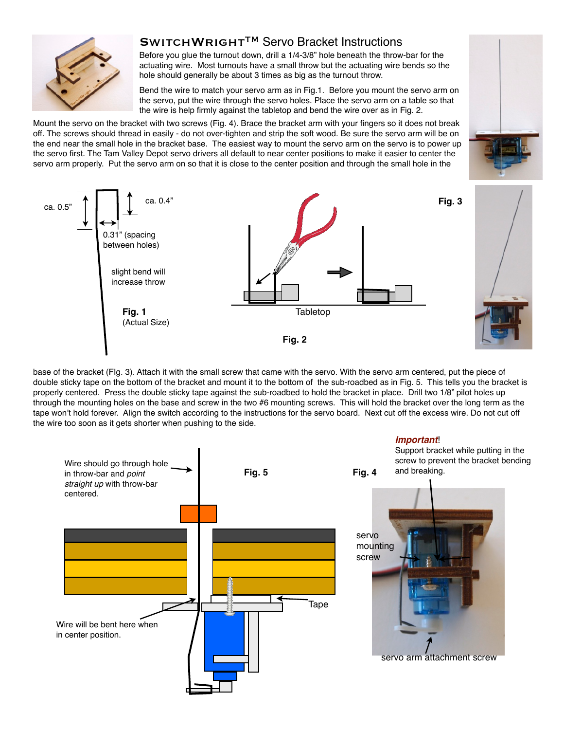

## SWITCHWRIGHT™ Servo Bracket Instructions

Before you glue the turnout down, drill a 1/4-3/8" hole beneath the throw-bar for the actuating wire. Most turnouts have a small throw but the actuating wire bends so the hole should generally be about 3 times as big as the turnout throw.

Bend the wire to match your servo arm as in Fig.1. Before you mount the servo arm on the servo, put the wire through the servo holes. Place the servo arm on a table so that the wire is help firmly against the tabletop and bend the wire over as in Fig. 2.

Mount the servo on the bracket with two screws (Fig. 4). Brace the bracket arm with your fingers so it does not break off. The screws should thread in easily - do not over-tighten and strip the soft wood. Be sure the servo arm will be on the end near the small hole in the bracket base. The easiest way to mount the servo arm on the servo is to power up the servo first. The Tam Valley Depot servo drivers all default to near center positions to make it easier to center the servo arm properly. Put the servo arm on so that it is close to the center position and through the small hole in the



base of the bracket (FIg. 3). Attach it with the small screw that came with the servo. With the servo arm centered, put the piece of double sticky tape on the bottom of the bracket and mount it to the bottom of the sub-roadbed as in Fig. 5. This tells you the bracket is properly centered. Press the double sticky tape against the sub-roadbed to hold the bracket in place. Drill two 1/8" pilot holes up through the mounting holes on the base and screw in the two #6 mounting screws. This will hold the bracket over the long term as the tape won't hold forever. Align the switch according to the instructions for the servo board. Next cut off the excess wire. Do not cut off the wire too soon as it gets shorter when pushing to the side.